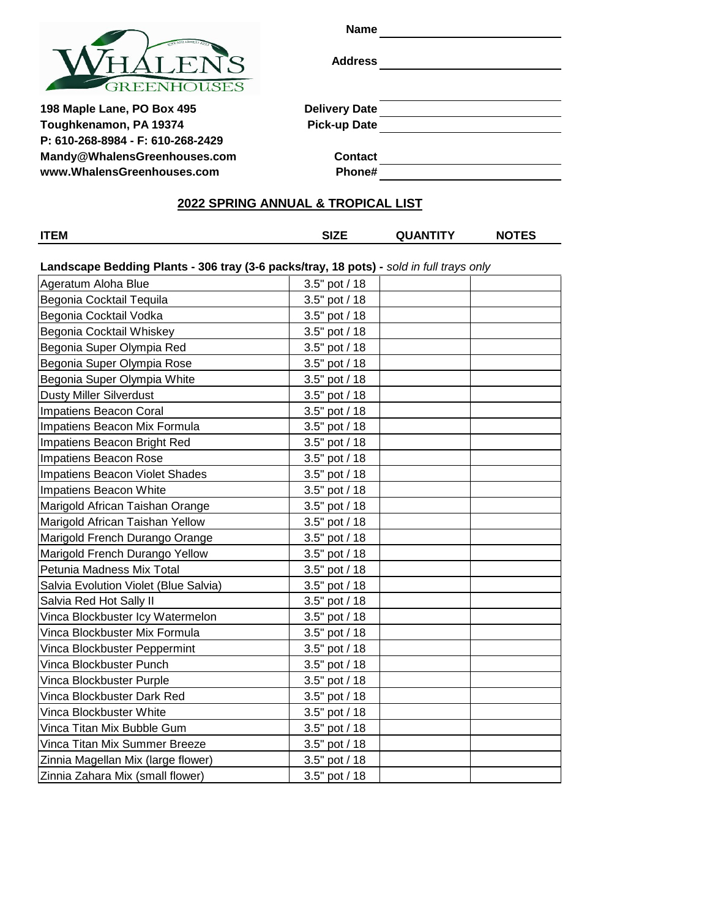

**Name**

**Address**

**198 Maple Lane, PO Box 495 Delivery Toughkenamon, PA 19374 Pick-up Date P: 610-268-8984 - F: 610-268-2429 [Mandy@WhalensGreenhouses.com](mailto:Mandy@WhalensGreenhouses.com) Contact [www.WhalensGreenhouses.com](http://www.whalensgreenhouses.com/) Phone#**

|    | Delivery Date |     |  |  |
|----|---------------|-----|--|--|
| -- |               | - - |  |  |

# **2022 SPRING ANNUAL & TROPICAL LIST**

**ITEM SIZE QUANTITY NOTES**

**Landscape Bedding Plants - 306 tray (3-6 packs/tray, 18 pots) -** *sold in full trays only* 

| Ageratum Aloha Blue                   | 3.5" pot / 18 |
|---------------------------------------|---------------|
| Begonia Cocktail Tequila              | 3.5" pot / 18 |
| Begonia Cocktail Vodka                | 3.5" pot / 18 |
| Begonia Cocktail Whiskey              | 3.5" pot / 18 |
| Begonia Super Olympia Red             | 3.5" pot / 18 |
| Begonia Super Olympia Rose            | 3.5" pot / 18 |
| Begonia Super Olympia White           | 3.5" pot / 18 |
| <b>Dusty Miller Silverdust</b>        | 3.5" pot / 18 |
| Impatiens Beacon Coral                | 3.5" pot / 18 |
| Impatiens Beacon Mix Formula          | 3.5" pot / 18 |
| Impatiens Beacon Bright Red           | 3.5" pot / 18 |
| Impatiens Beacon Rose                 | 3.5" pot / 18 |
| Impatiens Beacon Violet Shades        | 3.5" pot / 18 |
| Impatiens Beacon White                | 3.5" pot / 18 |
| Marigold African Taishan Orange       | 3.5" pot / 18 |
| Marigold African Taishan Yellow       | 3.5" pot / 18 |
| Marigold French Durango Orange        | 3.5" pot / 18 |
| Marigold French Durango Yellow        | 3.5" pot / 18 |
| Petunia Madness Mix Total             | 3.5" pot / 18 |
| Salvia Evolution Violet (Blue Salvia) | 3.5" pot / 18 |
| Salvia Red Hot Sally II               | 3.5" pot / 18 |
| Vinca Blockbuster Icy Watermelon      | 3.5" pot / 18 |
| Vinca Blockbuster Mix Formula         | 3.5" pot / 18 |
| Vinca Blockbuster Peppermint          | 3.5" pot / 18 |
| Vinca Blockbuster Punch               | 3.5" pot / 18 |
| Vinca Blockbuster Purple              | 3.5" pot / 18 |
| Vinca Blockbuster Dark Red            | 3.5" pot / 18 |
| Vinca Blockbuster White               | 3.5" pot / 18 |
| Vinca Titan Mix Bubble Gum            | 3.5" pot / 18 |
| Vinca Titan Mix Summer Breeze         | 3.5" pot / 18 |
| Zinnia Magellan Mix (large flower)    | 3.5" pot / 18 |
| Zinnia Zahara Mix (small flower)      | 3.5" pot / 18 |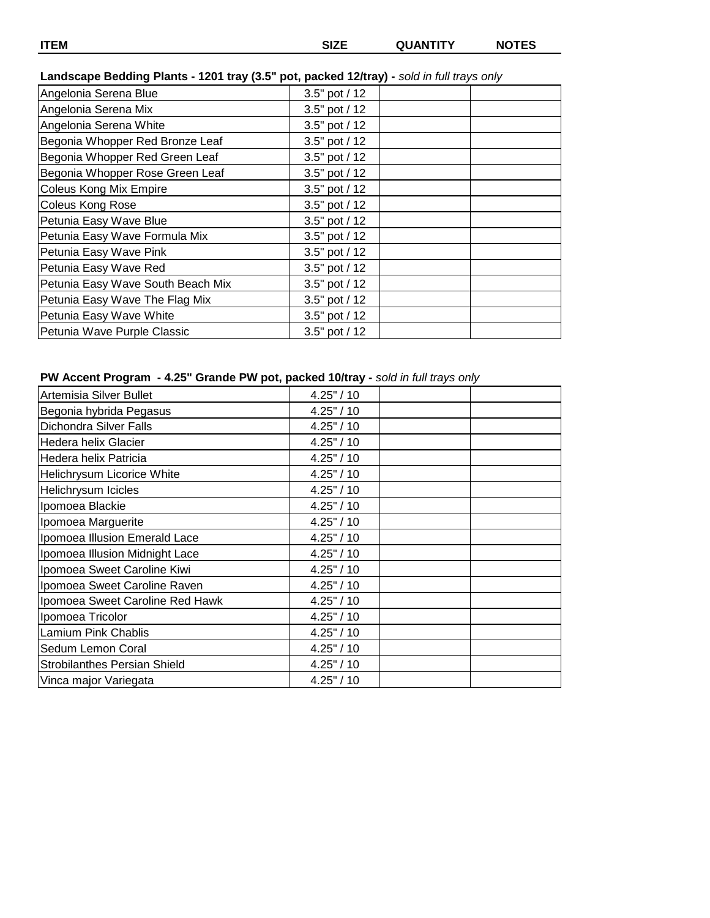# **Landscape Bedding Plants - 1201 tray (3.5" pot, packed 12/tray) -** *sold in full trays only*

| Angelonia Serena Blue             | 3.5" pot / 12 |
|-----------------------------------|---------------|
| Angelonia Serena Mix              | 3.5" pot / 12 |
| Angelonia Serena White            | 3.5" pot / 12 |
| Begonia Whopper Red Bronze Leaf   | 3.5" pot / 12 |
| Begonia Whopper Red Green Leaf    | 3.5" pot / 12 |
| Begonia Whopper Rose Green Leaf   | 3.5" pot / 12 |
| Coleus Kong Mix Empire            | 3.5" pot / 12 |
| Coleus Kong Rose                  | 3.5" pot / 12 |
| Petunia Easy Wave Blue            | 3.5" pot / 12 |
| Petunia Easy Wave Formula Mix     | 3.5" pot / 12 |
| Petunia Easy Wave Pink            | 3.5" pot / 12 |
| Petunia Easy Wave Red             | 3.5" pot / 12 |
| Petunia Easy Wave South Beach Mix | 3.5" pot / 12 |
| Petunia Easy Wave The Flag Mix    | 3.5" pot / 12 |
| Petunia Easy Wave White           | 3.5" pot / 12 |
| Petunia Wave Purple Classic       | 3.5" pot / 12 |

# **PW Accent Program - 4.25" Grande PW pot, packed 10/tray -** *sold in full trays only*

| Artemisia Silver Bullet             | 4.25" / 10 |  |
|-------------------------------------|------------|--|
| Begonia hybrida Pegasus             | 4.25" / 10 |  |
| Dichondra Silver Falls              | 4.25" / 10 |  |
| Hedera helix Glacier                | 4.25" / 10 |  |
| Hedera helix Patricia               | 4.25" / 10 |  |
| Helichrysum Licorice White          | 4.25" / 10 |  |
| Helichrysum Icicles                 | 4.25" / 10 |  |
| Ipomoea Blackie                     | 4.25" / 10 |  |
| Ipomoea Marguerite                  | 4.25" / 10 |  |
| Ipomoea Illusion Emerald Lace       | 4.25" / 10 |  |
| Ipomoea Illusion Midnight Lace      | 4.25" / 10 |  |
| Ipomoea Sweet Caroline Kiwi         | 4.25" / 10 |  |
| Ipomoea Sweet Caroline Raven        | 4.25" / 10 |  |
| Ipomoea Sweet Caroline Red Hawk     | 4.25" / 10 |  |
| Ipomoea Tricolor                    | 4.25" / 10 |  |
| Lamium Pink Chablis                 | 4.25" / 10 |  |
| Sedum Lemon Coral                   | 4.25" / 10 |  |
| <b>Strobilanthes Persian Shield</b> | 4.25" / 10 |  |
| Vinca major Variegata               | 4.25" / 10 |  |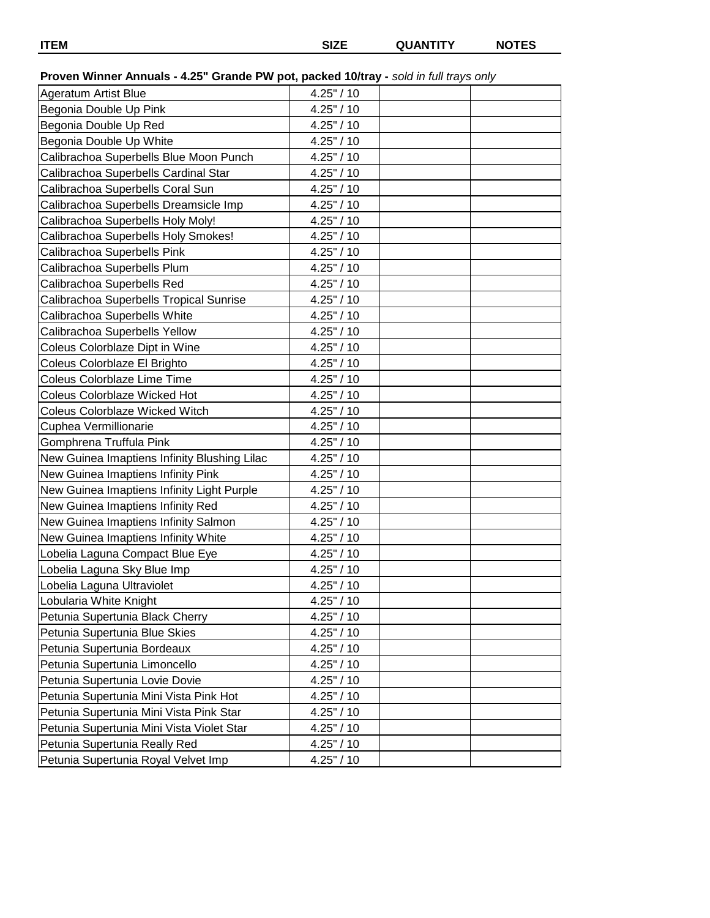**ITEM SIZE QUANTITY NOTES**

# **Proven Winner Annuals - 4.25" Grande PW pot, packed 10/tray -** *sold in full trays only*

| <b>Ageratum Artist Blue</b>                  | 4.25" / 10    |  |
|----------------------------------------------|---------------|--|
| Begonia Double Up Pink                       | 4.25" / 10    |  |
| Begonia Double Up Red                        | 4.25" / 10    |  |
| Begonia Double Up White                      | 4.25" / 10    |  |
| Calibrachoa Superbells Blue Moon Punch       | 4.25" / 10    |  |
| Calibrachoa Superbells Cardinal Star         | 4.25" / 10    |  |
| Calibrachoa Superbells Coral Sun             | 4.25" / 10    |  |
| Calibrachoa Superbells Dreamsicle Imp        | 4.25" / 10    |  |
| Calibrachoa Superbells Holy Moly!            | 4.25" / 10    |  |
| Calibrachoa Superbells Holy Smokes!          | 4.25" / 10    |  |
| Calibrachoa Superbells Pink                  | 4.25" / 10    |  |
| Calibrachoa Superbells Plum                  | 4.25" / 10    |  |
| Calibrachoa Superbells Red                   | 4.25" / 10    |  |
| Calibrachoa Superbells Tropical Sunrise      | 4.25" / 10    |  |
| Calibrachoa Superbells White                 | 4.25" / 10    |  |
| Calibrachoa Superbells Yellow                | 4.25" / 10    |  |
| Coleus Colorblaze Dipt in Wine               | 4.25" / 10    |  |
| Coleus Colorblaze El Brighto                 | 4.25" / 10    |  |
| Coleus Colorblaze Lime Time                  | 4.25" / 10    |  |
| <b>Coleus Colorblaze Wicked Hot</b>          | 4.25" / 10    |  |
| <b>Coleus Colorblaze Wicked Witch</b>        | 4.25" / 10    |  |
| Cuphea Vermillionarie                        | 4.25" / 10    |  |
| Gomphrena Truffula Pink                      | 4.25" / 10    |  |
| New Guinea Imaptiens Infinity Blushing Lilac | 4.25" / 10    |  |
| New Guinea Imaptiens Infinity Pink           | $4.25$ " / 10 |  |
| New Guinea Imaptiens Infinity Light Purple   | 4.25" / 10    |  |
| New Guinea Imaptiens Infinity Red            | 4.25" / 10    |  |
| New Guinea Imaptiens Infinity Salmon         | 4.25" / 10    |  |
| New Guinea Imaptiens Infinity White          | 4.25" / 10    |  |
| Lobelia Laguna Compact Blue Eye              | 4.25" / 10    |  |
| Lobelia Laguna Sky Blue Imp                  | 4.25" / 10    |  |
| Lobelia Laguna Ultraviolet                   | 4.25" / 10    |  |
| Lobularia White Knight                       | 4.25" / 10    |  |
| Petunia Supertunia Black Cherry              | 4.25" / 10    |  |
| Petunia Supertunia Blue Skies                | $4.25$ " / 10 |  |
| Petunia Supertunia Bordeaux                  | 4.25" / 10    |  |
| Petunia Supertunia Limoncello                | 4.25" / 10    |  |
| Petunia Supertunia Lovie Dovie               | 4.25" / 10    |  |
| Petunia Supertunia Mini Vista Pink Hot       | 4.25" / 10    |  |
| Petunia Supertunia Mini Vista Pink Star      | 4.25" / 10    |  |
| Petunia Supertunia Mini Vista Violet Star    | 4.25" / 10    |  |
| Petunia Supertunia Really Red                | 4.25" / 10    |  |
| Petunia Supertunia Royal Velvet Imp          | 4.25" / 10    |  |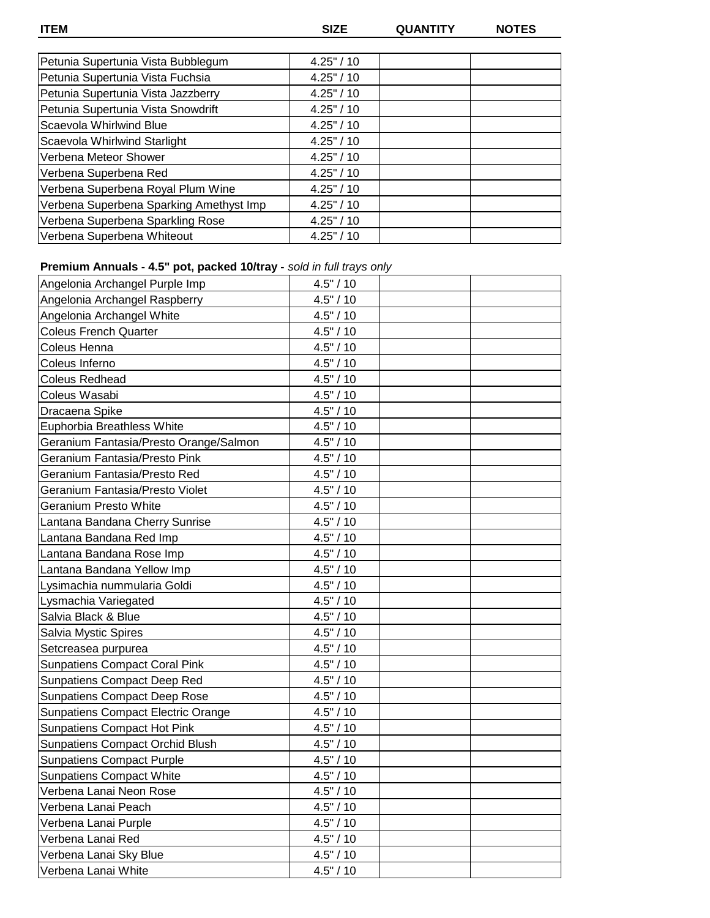**ITEM SIZE QUANTITY NOTES**

| Petunia Supertunia Vista Bubblegum      | $4.25$ " / 10 |  |
|-----------------------------------------|---------------|--|
| Petunia Supertunia Vista Fuchsia        | $4.25$ " / 10 |  |
| Petunia Supertunia Vista Jazzberry      | 4.25" / 10    |  |
| Petunia Supertunia Vista Snowdrift      | 4.25" / 10    |  |
| Scaevola Whirlwind Blue                 | $4.25$ " / 10 |  |
| Scaevola Whirlwind Starlight            | 4.25" / 10    |  |
| Verbena Meteor Shower                   | 4.25" / 10    |  |
| Verbena Superbena Red                   | $4.25$ " / 10 |  |
| Verbena Superbena Royal Plum Wine       | $4.25$ " / 10 |  |
| Verbena Superbena Sparking Amethyst Imp | $4.25$ " / 10 |  |
| Verbena Superbena Sparkling Rose        | 4.25" / 10    |  |
| Verbena Superbena Whiteout              | 4.25" / 10    |  |

# **Premium Annuals - 4.5" pot, packed 10/tray -** *sold in full trays only*

| Angelonia Archangel Purple Imp            | 4.5" / 10 |  |
|-------------------------------------------|-----------|--|
| Angelonia Archangel Raspberry             | 4.5" / 10 |  |
| Angelonia Archangel White                 | 4.5" / 10 |  |
| <b>Coleus French Quarter</b>              | 4.5" / 10 |  |
| Coleus Henna                              | 4.5" / 10 |  |
| Coleus Inferno                            | 4.5" / 10 |  |
| <b>Coleus Redhead</b>                     | 4.5" / 10 |  |
| Coleus Wasabi                             | 4.5" / 10 |  |
| Dracaena Spike                            | 4.5" / 10 |  |
| Euphorbia Breathless White                | 4.5" / 10 |  |
| Geranium Fantasia/Presto Orange/Salmon    | 4.5" / 10 |  |
| Geranium Fantasia/Presto Pink             | 4.5" / 10 |  |
| Geranium Fantasia/Presto Red              | 4.5" / 10 |  |
| Geranium Fantasia/Presto Violet           | 4.5" / 10 |  |
| Geranium Presto White                     | 4.5" / 10 |  |
| Lantana Bandana Cherry Sunrise            | 4.5" / 10 |  |
| Lantana Bandana Red Imp                   | 4.5" / 10 |  |
| Lantana Bandana Rose Imp                  | 4.5" / 10 |  |
| Lantana Bandana Yellow Imp                | 4.5" / 10 |  |
| Lysimachia nummularia Goldi               | 4.5" / 10 |  |
| Lysmachia Variegated                      | 4.5" / 10 |  |
| Salvia Black & Blue                       | 4.5" / 10 |  |
| Salvia Mystic Spires                      | 4.5" / 10 |  |
| Setcreasea purpurea                       | 4.5" / 10 |  |
| <b>Sunpatiens Compact Coral Pink</b>      | 4.5" / 10 |  |
| <b>Sunpatiens Compact Deep Red</b>        | 4.5" / 10 |  |
| <b>Sunpatiens Compact Deep Rose</b>       | 4.5" / 10 |  |
| <b>Sunpatiens Compact Electric Orange</b> | 4.5" / 10 |  |
| <b>Sunpatiens Compact Hot Pink</b>        | 4.5" / 10 |  |
| Sunpatiens Compact Orchid Blush           | 4.5" / 10 |  |
| <b>Sunpatiens Compact Purple</b>          | 4.5" / 10 |  |
| <b>Sunpatiens Compact White</b>           | 4.5" / 10 |  |
| Verbena Lanai Neon Rose                   | 4.5" / 10 |  |
| Verbena Lanai Peach                       | 4.5" / 10 |  |
| Verbena Lanai Purple                      | 4.5" / 10 |  |
| Verbena Lanai Red                         | 4.5" / 10 |  |
| Verbena Lanai Sky Blue                    | 4.5" / 10 |  |
| Verbena Lanai White                       | 4.5" / 10 |  |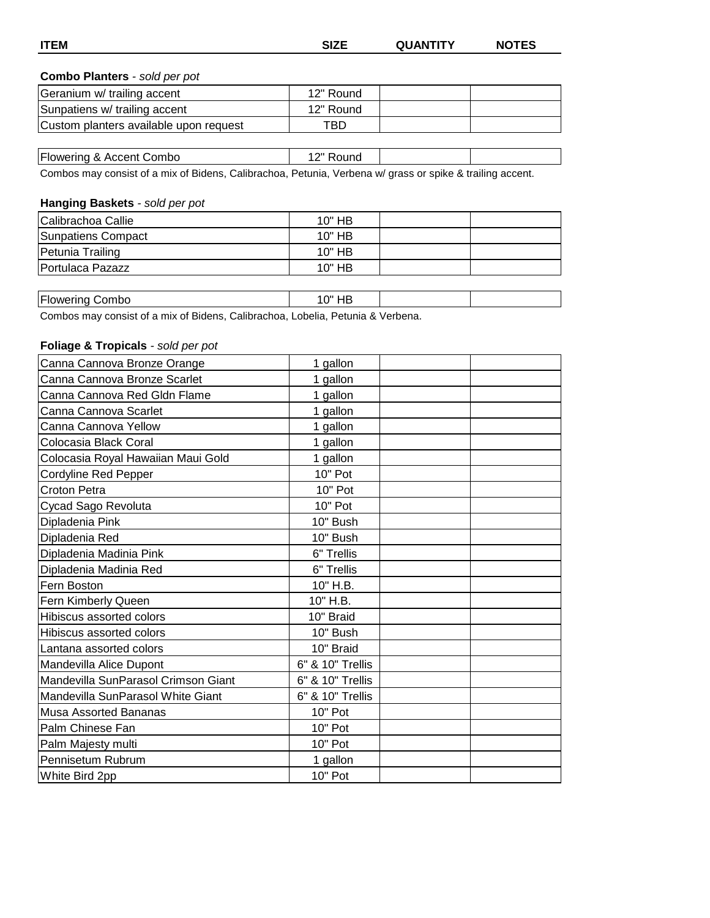#### **Combo Planters** *- sold per pot*

| Geranium w/ trailing accent            | 12" Round |  |
|----------------------------------------|-----------|--|
| Sunpatiens w/ trailing accent          | 12" Round |  |
| Custom planters available upon request | TBD.      |  |

| -<br>$\sim$<br>ıbc<br>- - -<br>د ۱۱۸٬<br>91 II 10<br>$\sim$<br>. .<br>,,,,,, | . ∩ ‴<br>. IU<br>. . |  |
|------------------------------------------------------------------------------|----------------------|--|

Combos may consist of a mix of Bidens, Calibrachoa, Petunia, Verbena w/ grass or spike & trailing accent.

#### **Hanging Baskets** *- sold per pot*

| Calibrachoa Callie | $10"$ HB |  |
|--------------------|----------|--|
| Sunpatiens Compact | $10"$ HB |  |
| Petunia Trailing   | $10"$ HB |  |
| Portulaca Pazazz   | $10"$ HB |  |

| <b>Flowering Combo</b>                                                          | 10" HB |  |
|---------------------------------------------------------------------------------|--------|--|
| Combos may consist of a mix of Bidens, Calibrachoa, Lobelia, Petunia & Verbena. |        |  |

#### **Foliage & Tropicals** *- sold per pot*

| Canna Cannova Bronze Orange         | 1 gallon         |  |
|-------------------------------------|------------------|--|
| Canna Cannova Bronze Scarlet        | 1 gallon         |  |
| Canna Cannova Red Gldn Flame        | 1 gallon         |  |
| Canna Cannova Scarlet               | 1 gallon         |  |
| Canna Cannova Yellow                | 1 gallon         |  |
| Colocasia Black Coral               | 1 gallon         |  |
| Colocasia Royal Hawaiian Maui Gold  | 1 gallon         |  |
| Cordyline Red Pepper                | 10" Pot          |  |
| <b>Croton Petra</b>                 | 10" Pot          |  |
| Cycad Sago Revoluta                 | 10" Pot          |  |
| Dipladenia Pink                     | 10" Bush         |  |
| Dipladenia Red                      | 10" Bush         |  |
| Dipladenia Madinia Pink             | 6" Trellis       |  |
| Dipladenia Madinia Red              | 6" Trellis       |  |
| Fern Boston                         | 10" H.B.         |  |
| Fern Kimberly Queen                 | 10" H.B.         |  |
| Hibiscus assorted colors            | 10" Braid        |  |
| Hibiscus assorted colors            | 10" Bush         |  |
| Lantana assorted colors             | 10" Braid        |  |
| Mandevilla Alice Dupont             | 6" & 10" Trellis |  |
| Mandevilla SunParasol Crimson Giant | 6" & 10" Trellis |  |
| Mandevilla SunParasol White Giant   | 6" & 10" Trellis |  |
| <b>Musa Assorted Bananas</b>        | 10" Pot          |  |
| Palm Chinese Fan                    | 10" Pot          |  |
| Palm Majesty multi                  | 10" Pot          |  |
| Pennisetum Rubrum                   | 1 gallon         |  |
| White Bird 2pp                      | 10" Pot          |  |